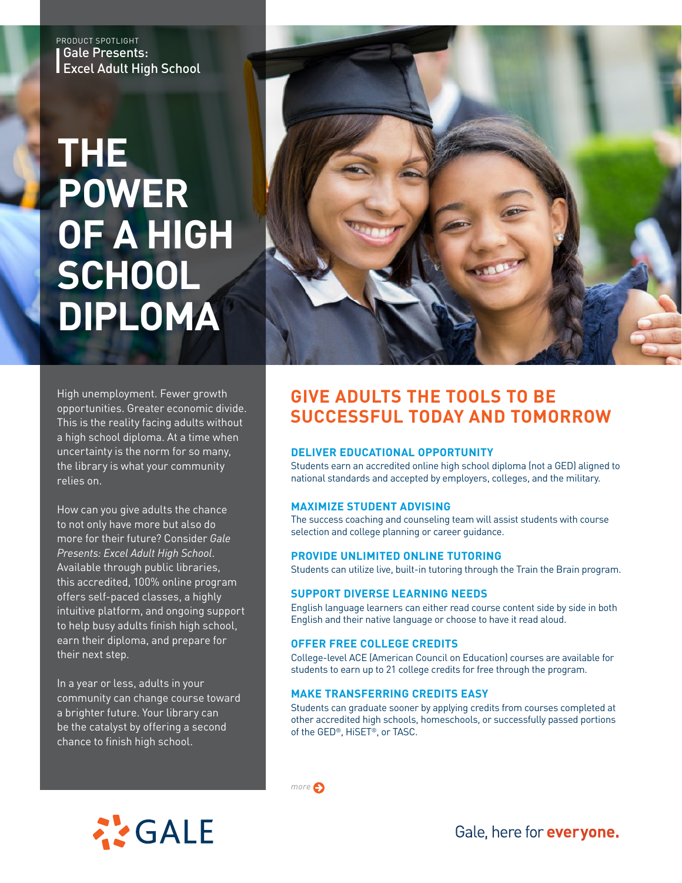Gale Presents: Excel Adult High School PRODUCT SPOTLIGHT

# **THE POWER OF A HIGH SCHOOL DIPLOMA**



High unemployment. Fewer growth opportunities. Greater economic divide. This is the reality facing adults without a high school diploma. At a time when uncertainty is the norm for so many, the library is what your community relies on.

How can you give adults the chance to not only have more but also do more for their future? Consider *Gale Presents: Excel Adult High School*. Available through public libraries, this accredited, 100% online program offers self-paced classes, a highly intuitive platform, and ongoing support to help busy adults finish high school, earn their diploma, and prepare for their next step.

In a year or less, adults in your community can change course toward a brighter future. Your library can be the catalyst by offering a second chance to finish high school.

# **GIVE ADULTS THE TOOLS TO BE SUCCESSFUL TODAY AND TOMORROW**

## **DELIVER EDUCATIONAL OPPORTUNITY**

Students earn an accredited online high school diploma (not a GED) aligned to national standards and accepted by employers, colleges, and the military.

### **MAXIMIZE STUDENT ADVISING**

The success coaching and counseling team will assist students with course selection and college planning or career guidance.

### **PROVIDE UNLIMITED ONLINE TUTORING**

Students can utilize live, built-in tutoring through the Train the Brain program.

### **SUPPORT DIVERSE LEARNING NEEDS**

English language learners can either read course content side by side in both English and their native language or choose to have it read aloud.

## **OFFER FREE COLLEGE CREDITS**

*more*

College-level ACE (American Council on Education) courses are available for students to earn up to 21 college credits for free through the program.

### **MAKE TRANSFERRING CREDITS EASY**

Students can graduate sooner by applying credits from courses completed at other accredited high schools, homeschools, or successfully passed portions of the GED®, HiSET®, or TASC.